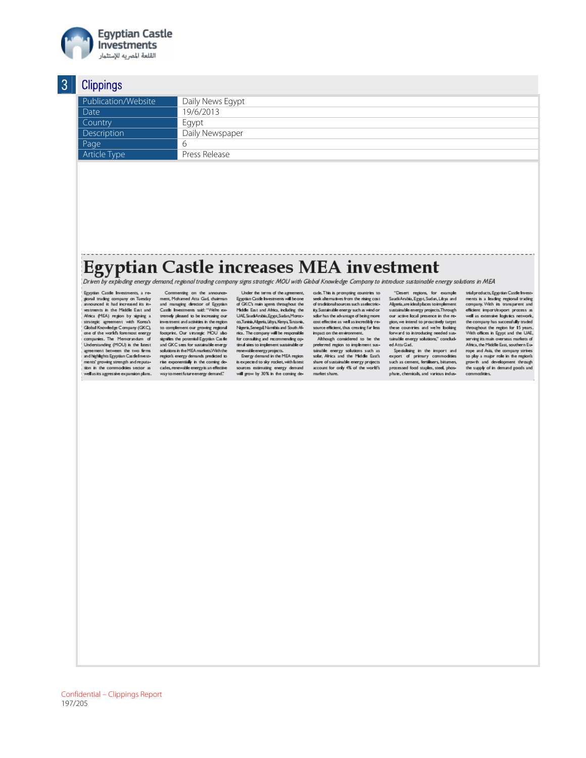

| .                   |                  |
|---------------------|------------------|
| Publication/Website | Daily News Egypt |
| Date                | 19/6/2013        |
| Country             | Eqypt            |
| Description         | Daily Newspaper  |
| Page                |                  |
| Article Type        | Press Release    |
|                     |                  |

# Egyptian Castle increases MEA investment comparing the mean of the mean of the mean of experiment  $E_{\text{Direch by } \text{explofing energy demand, regional trading company signs strategic MOU with Global Knowledge Company to introduce sustainable energy solutions in MEA}$

Egyptian Castle Investments, a regypuan Casue investments, a re-<br>gioral trading company on Tuesday<br>announced it had increased its investments in the Middle East and Castle linear<br>times said: "We're co-Minica (FIA) region by signing a tremedy pheared to be increasing our strategic appropriate in<br>the Samtage Company (GKC) to complement and activities in vestments in the Middle East and

Commenting on the amouncement, Mchamed Atta Gad, chairman<br>and managing director of Egyptian<br>Castle lawestments said: "We're ex-<br>tremely pleased to be increasing our<br>investment and activities in the region

Under the terms of the agreement,<br>Egyptian Castle livestments will be one<br>of GKC's main agents throughout the<br>Middle East and Africa, including the<br>UAE StudiAndria,Egypt,Sudan,Moroc-<br>Traith Africa, including Uve, Suuavunna, egypt, Susan, moroc-<br>co, Tunisia, Algeria, Libya, Kenya, Tanzaria,<br>Ngeria, Senegal, Namibia and South A6<br>rica. The company will be responsible<br>for consulting and recommending op-<br>timal sites to implement su

Formal and the integration statements<br>
For gy dermand in the MEA region<br>
is expected to sky rocket, with latest sources estimating energy demand<br>will grow by 30% in the coming de-

cade. This is prompting countries to<br>seek alternatives from the rising cost<br>of traditional sources such as electricty. Sustainable energy such as wind or<br>sciar has the advantage of being more<br>cost effective as well as incredibly resource efficient, thus creating far less<br>impact on the environment.<br>Although considered to be the

preferred region to implement sus-<br>trimble energy solutions such as<br>solar, Africa and the Middle East's<br>share of sustainable energy projects account for only 4% of the world's<br>market share.

"Desert regions, for example<br>Saudi Arabia, Egypt, Sudan, Libya and<br>Algeria, are ideal places to implement sugenitate isemplices complement<br>sustainable energy projects. Through<br>our active local presence in the reou we interested to procedure in the rest<br>given, we interest the second the second the second we're boking<br>forward to introducing needed sus-<br>tainable energy solutions," concluded Atta Gad.

Specialising in the import and<br>export of primary commodities<br>such as cement, fertilisers, bitumen, processed food staples, steel, phosphate, chemicals, and various indus-

trial products, Egyptian Castle Invest trial products, Egyptian Castle Investments is a leading regional trading<br>company. With its transparent and<br>efficient import/export process as<br>well as extensive logistics network,<br>the company has successfully traded the company and accounting the region for 15 years.<br>With offices in Egypt and the UAE,<br>serving its main overseas markets of<br>Africa, the Middle East, southern Eu-America, the model is a company strikes<br>to play a major role in the region's<br>to play a major role in the region's<br>growth and development through<br>the supply of in demand goods and

Confidential - Clippings Report 197/205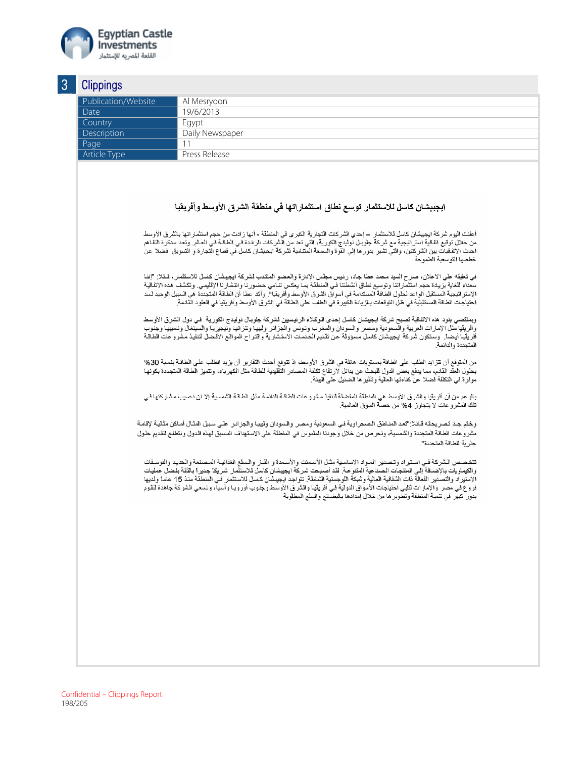

| Publication/Website | Al Mesryoon                                                                                                                                                                                                                                                                                                                                                                                                                                                                                                                                                                                                                    |
|---------------------|--------------------------------------------------------------------------------------------------------------------------------------------------------------------------------------------------------------------------------------------------------------------------------------------------------------------------------------------------------------------------------------------------------------------------------------------------------------------------------------------------------------------------------------------------------------------------------------------------------------------------------|
| Date                | 19/6/2013                                                                                                                                                                                                                                                                                                                                                                                                                                                                                                                                                                                                                      |
| Country             | Egypt                                                                                                                                                                                                                                                                                                                                                                                                                                                                                                                                                                                                                          |
| Description         | Daily Newspaper                                                                                                                                                                                                                                                                                                                                                                                                                                                                                                                                                                                                                |
| Page                | 11                                                                                                                                                                                                                                                                                                                                                                                                                                                                                                                                                                                                                             |
| Article Type        | Press Release                                                                                                                                                                                                                                                                                                                                                                                                                                                                                                                                                                                                                  |
|                     |                                                                                                                                                                                                                                                                                                                                                                                                                                                                                                                                                                                                                                |
|                     | ابجببشان كاسل للاستثمار توسع نطاق استثماراتها في منطقة الشرق الأوسط وأفريقيا                                                                                                                                                                                                                                                                                                                                                                                                                                                                                                                                                   |
|                     | أعلنت اليوم شركة ايجيبشان كاسل للاستثمار — إحدي الشركات التجارية الكبرى في المنطقة - أنها زادت من حجم استثماراتها بالشرق الأوسط<br>من خلال توقيع اتفاقية استراتيجية مع شركة جلوبال نوليدج الكورية، التي تحد من الشركات الرائدة في الطاقـة فـي العـالم. وتعد مذكرة التفـاهم<br>احدث الاتفاقيات بين الشركتين، والتي تشير بدورها إلي القوة والسمعة المنتامية لشركة ايجيبشان كاسل في قطاع التجارة و التسويق  فضلا عن<br>خططها التوسعية الطموحة.                                                                                                                                                                                    |
|                     | في تعليقه على الاعلان، صرح السيد محمد عطا جاد، رئيس مجلس الإدارة والعضو المنتدب لشركة ايجييشان كاسل للاستثمار ، قـلالا: "إننـا<br>سعداء للغاية بزيدة حجم استثماراتنا وتوسيع نطاق أنشطتنا في المنطقة بما يعكس نتـامي حضورنا وانتشـلرنا الإقليمـي. وتكشف هذه الاتفاقيـة<br>الاستراتيجية المستقبل الواعد لحلول الطاقة المستدامة في أسواق الشرق الأوسط وأفريقيا". وأكد عطا أن الطاقة المتجددة هي السبيل الوحيد لسد<br>احتياجات الطاقة المستقبلية في ظل التوقعات بالزيادة الكبيرة في الطلب على الطاقة في الشرق الأوسط وأفريقيا في العقود القادمة.                                                                                   |
|                     | وبمقتضى بنود هذه الاتفاقية تصبح شركة ايجيشان كاسل إحدى الوكلاء الرئيسيين لشركة جلوبال نوليدج الكورية  في دول الشرق الأوسط<br>وأفريقيا مثل الإمارات العربية والسعودية ومصر والسودان والمغرب وتونس والجزائر وليييا وتنزانيا ونيجيريا والسينغال وناميييا وجنوب<br>أفريقيا أيضا٬ وستكون شركة ايجيشان كاسل مسؤولة عن تقنيم الخدمات الاستشارية واقتراح المواقع الأفضل لتنفيذ مشرو عات الطاقة<br>المتجددة والدائمة                                                                                                                                                                                                                    |
|                     | من المتوقع أن تتزايد الطلب على الطاقة بمستويات هائلة في الشرق الأوسط، إذ تتوقع أحدث التقارير  أن يزيد الطلب على الطاقـة بنسبة 30%<br>بحلول العقد القدم، مما يدفع بعض الدول للبحث عن بدائل لارتفاع تكلفة المصادر التقليدية للطاقة مثل الكهرباء، وتتميز الطاقة المتجددة بكونها<br>موفر ة في التكلفة فضلا عن كفاءتها الحالية وتأثير ها الضئيل على البيئة ـ                                                                                                                                                                                                                                                                        |
|                     | بـالر غم من أن أفريقيا والشرق الأوسط هي المنطقة المفضلة لتنفيذ مشرو عات الطـاقـة الذائمـة مثل الطـاقـة الشمسية إلا ان نـصيب مشاركتها فـي<br>تلك المشرو عات لا يتجاوز 4% من حصة السوق العالمية.                                                                                                                                                                                                                                                                                                                                                                                                                                 |
|                     | وختم جد تصريحته قـتلا:"تعد المنـاطق الصـحراوية فـي السعودية ومصر والسودان وليييا والجزائر علـي سبيل المثـال أمـاكن مثاليـة لإقامـة                                                                                                                                                                                                                                                                                                                                                                                                                                                                                             |
|                     | مشر وعات الطاقة المتجددة والشمسية، ونحرص من خلال وجودنا الملموس في المنطقة على الاستهداف المسبق لهذه الدول ونتطلع لتقديم حلول<br>جذر ية للطاقة المتجددة".                                                                                                                                                                                                                                                                                                                                                                                                                                                                      |
|                     | تتخصص الشركة في استيراد وتصدير المواد الاساسية مثل الأسمنت والأسمدة و القـلر والـسلم الغذائيـة المـصنعة والـحديد والفوسـفات<br>والكيماويات بالإضـافة إلـى المنتجـات الـصناعية المتنوعـة. لقد أصبـحت شركة ايجيبشان كاسـل للاستثمـل شـريكا جديرا بـالثقة بفضل عمليات<br>الاستيراد والتصدير الفعالة ذات الشفافية العالية وشبكة اللوجستية الشاملة. تتواجد ايجيبشان كاسل للاستثمار في المنطقة منذ 15 عامـًا ولديها<br>فروع في مصر  والإمارات لتلبي احتياجات الأسواق الدولية في أفريقيا والشرق الأوسط وجنوب أوروبـا وآسيا، وتسعى الشركة جاهدة لتقوم<br>بدور كبير في تنمية المنطقة وتطوير ها من خلال إمدادها بالبضلقع والسلع المطلوبة |
|                     |                                                                                                                                                                                                                                                                                                                                                                                                                                                                                                                                                                                                                                |
|                     |                                                                                                                                                                                                                                                                                                                                                                                                                                                                                                                                                                                                                                |
|                     |                                                                                                                                                                                                                                                                                                                                                                                                                                                                                                                                                                                                                                |
|                     |                                                                                                                                                                                                                                                                                                                                                                                                                                                                                                                                                                                                                                |
|                     |                                                                                                                                                                                                                                                                                                                                                                                                                                                                                                                                                                                                                                |
|                     |                                                                                                                                                                                                                                                                                                                                                                                                                                                                                                                                                                                                                                |
|                     |                                                                                                                                                                                                                                                                                                                                                                                                                                                                                                                                                                                                                                |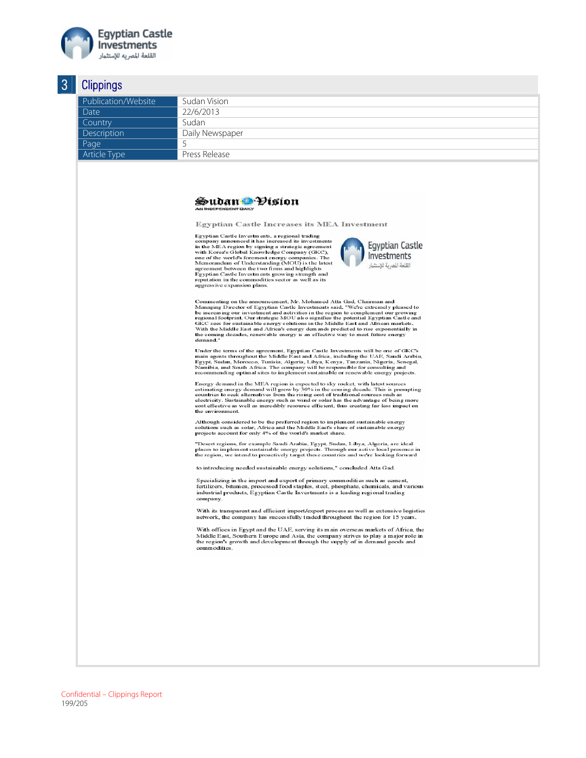

| Publication/Website<br>Sudan Vision<br>22/6/2013<br>Date<br>Sudan<br>Country<br>Daily Newspaper<br>5<br>Press Release<br>Sudan Visíon<br><b>AN INDEPENDENT DAILY</b><br><b>Egyptian Castle Increases its MEA Investment</b><br>Egyptian Castle Investments, a regional trading<br>company announced it has increased its investments<br><b>Egyptian Castle</b><br>in the MEA region by signing a strategic agreement<br>with Korea's Global Knowledge Company (GKC),<br>Investments<br>one of the world's foremost energy companies. The<br>Memorandum of Understanding (MOU) is the latest<br>القلعة المصرية للإستثمار<br>agreement between the two firms and highlights<br>Egyptian Castle Investments growing strength and<br>reputation in the commodities sector as well as its<br>aggressive expansion plans.<br>Commenting on the announcement, Mr. Mohamed Atta Gad, Chairman and<br>Managing Director of Egyptian Castle Investments said, "We're extremely pleased to<br>be increasing our investment and activities in the region to complement our growing<br>regional footprint. Our strategic MOU also signifies the potential Egyptian Castle and<br>GKC sees for sustainable energy solutions in the Middle East and African markets.<br>With the Middle East and Africa's energy demands predicted to rise exponentially in<br>the coming decades, renewable energy is an effective way to meet future energy<br>demand."<br>Under the terms of the agreement, Egyptian Castle Investments will be one of GKC's<br>main agents throughout the Middle East and Africa, including the UAE, Saudi Arabia,<br>Egypt, Sudan, Morocco, Tunisia, Algeria, Libya, Kenya, Tanzania, Nigeria, Senegal,<br>Namibia, and South Africa. The company will be responsible for consulting and<br>recommending optimal sites to implement sustainable or renewable energy projects.<br>Energy demand in the MEA region is expected to sky rocket, with latest sources<br>estimating energy demand will grow by 30% in the coming decade. This is prompting<br>countries to seek alternatives from the rising cost of traditional sources such as<br>electricity. Sustainable energy such as wind or solar has the advantage of being more<br>cost effective as well as incredibly resource efficient, thus creating far less impact on<br>the environment.<br>Although considered to be the preferred region to implement sustainable energy<br>solutions such as solar, Africa and the Middle East's share of sustainable energy<br>projects account for only 4% of the world's market share.<br>"Desert regions, for example Saudi Arabia, Egypt, Sudan, Libya, Algeria, are ideal<br>places to implement sustainable energy projects. Through our active local presence in<br>the region, we intend to proactively target these countries and we're looking forward<br>to introducing needed sustainable energy solutions," concluded Atta Gad.<br>Specializing in the import and export of primary commodities such as cement,<br>fertilizers, bitumen, processed food staples, steel, phosphate, chemicals, and various<br>industrial products, Egyptian Castle Investments is a leading regional trading<br>company.<br>With its transparent and efficient import/export process as well as extensive logistics<br>network, the company has successfully traded throughout the region for 15 years.<br>With offices in Egypt and the UAE, serving its main overseas markets of Africa, the<br>Middle East, Southern Europe and Asia, the company strives to play a major role in<br>the region's growth and development through the supply of in demand goods and<br>commodities. |
|-----------------------------------------------------------------------------------------------------------------------------------------------------------------------------------------------------------------------------------------------------------------------------------------------------------------------------------------------------------------------------------------------------------------------------------------------------------------------------------------------------------------------------------------------------------------------------------------------------------------------------------------------------------------------------------------------------------------------------------------------------------------------------------------------------------------------------------------------------------------------------------------------------------------------------------------------------------------------------------------------------------------------------------------------------------------------------------------------------------------------------------------------------------------------------------------------------------------------------------------------------------------------------------------------------------------------------------------------------------------------------------------------------------------------------------------------------------------------------------------------------------------------------------------------------------------------------------------------------------------------------------------------------------------------------------------------------------------------------------------------------------------------------------------------------------------------------------------------------------------------------------------------------------------------------------------------------------------------------------------------------------------------------------------------------------------------------------------------------------------------------------------------------------------------------------------------------------------------------------------------------------------------------------------------------------------------------------------------------------------------------------------------------------------------------------------------------------------------------------------------------------------------------------------------------------------------------------------------------------------------------------------------------------------------------------------------------------------------------------------------------------------------------------------------------------------------------------------------------------------------------------------------------------------------------------------------------------------------------------------------------------------------------------------------------------------------------------------------------------------------------------------------------------------------------------------------------------------------------------------------------------------------------------------------------------------------------------------------------------------------------------------------------------------------------------------------------------------------------------------------------------------------------------------------------------------------------------------------------------------------------------------------------------------------------------------|
|                                                                                                                                                                                                                                                                                                                                                                                                                                                                                                                                                                                                                                                                                                                                                                                                                                                                                                                                                                                                                                                                                                                                                                                                                                                                                                                                                                                                                                                                                                                                                                                                                                                                                                                                                                                                                                                                                                                                                                                                                                                                                                                                                                                                                                                                                                                                                                                                                                                                                                                                                                                                                                                                                                                                                                                                                                                                                                                                                                                                                                                                                                                                                                                                                                                                                                                                                                                                                                                                                                                                                                                                                                                                                         |
| Description                                                                                                                                                                                                                                                                                                                                                                                                                                                                                                                                                                                                                                                                                                                                                                                                                                                                                                                                                                                                                                                                                                                                                                                                                                                                                                                                                                                                                                                                                                                                                                                                                                                                                                                                                                                                                                                                                                                                                                                                                                                                                                                                                                                                                                                                                                                                                                                                                                                                                                                                                                                                                                                                                                                                                                                                                                                                                                                                                                                                                                                                                                                                                                                                                                                                                                                                                                                                                                                                                                                                                                                                                                                                             |
| Page                                                                                                                                                                                                                                                                                                                                                                                                                                                                                                                                                                                                                                                                                                                                                                                                                                                                                                                                                                                                                                                                                                                                                                                                                                                                                                                                                                                                                                                                                                                                                                                                                                                                                                                                                                                                                                                                                                                                                                                                                                                                                                                                                                                                                                                                                                                                                                                                                                                                                                                                                                                                                                                                                                                                                                                                                                                                                                                                                                                                                                                                                                                                                                                                                                                                                                                                                                                                                                                                                                                                                                                                                                                                                    |
| Article Type                                                                                                                                                                                                                                                                                                                                                                                                                                                                                                                                                                                                                                                                                                                                                                                                                                                                                                                                                                                                                                                                                                                                                                                                                                                                                                                                                                                                                                                                                                                                                                                                                                                                                                                                                                                                                                                                                                                                                                                                                                                                                                                                                                                                                                                                                                                                                                                                                                                                                                                                                                                                                                                                                                                                                                                                                                                                                                                                                                                                                                                                                                                                                                                                                                                                                                                                                                                                                                                                                                                                                                                                                                                                            |
|                                                                                                                                                                                                                                                                                                                                                                                                                                                                                                                                                                                                                                                                                                                                                                                                                                                                                                                                                                                                                                                                                                                                                                                                                                                                                                                                                                                                                                                                                                                                                                                                                                                                                                                                                                                                                                                                                                                                                                                                                                                                                                                                                                                                                                                                                                                                                                                                                                                                                                                                                                                                                                                                                                                                                                                                                                                                                                                                                                                                                                                                                                                                                                                                                                                                                                                                                                                                                                                                                                                                                                                                                                                                                         |
|                                                                                                                                                                                                                                                                                                                                                                                                                                                                                                                                                                                                                                                                                                                                                                                                                                                                                                                                                                                                                                                                                                                                                                                                                                                                                                                                                                                                                                                                                                                                                                                                                                                                                                                                                                                                                                                                                                                                                                                                                                                                                                                                                                                                                                                                                                                                                                                                                                                                                                                                                                                                                                                                                                                                                                                                                                                                                                                                                                                                                                                                                                                                                                                                                                                                                                                                                                                                                                                                                                                                                                                                                                                                                         |
|                                                                                                                                                                                                                                                                                                                                                                                                                                                                                                                                                                                                                                                                                                                                                                                                                                                                                                                                                                                                                                                                                                                                                                                                                                                                                                                                                                                                                                                                                                                                                                                                                                                                                                                                                                                                                                                                                                                                                                                                                                                                                                                                                                                                                                                                                                                                                                                                                                                                                                                                                                                                                                                                                                                                                                                                                                                                                                                                                                                                                                                                                                                                                                                                                                                                                                                                                                                                                                                                                                                                                                                                                                                                                         |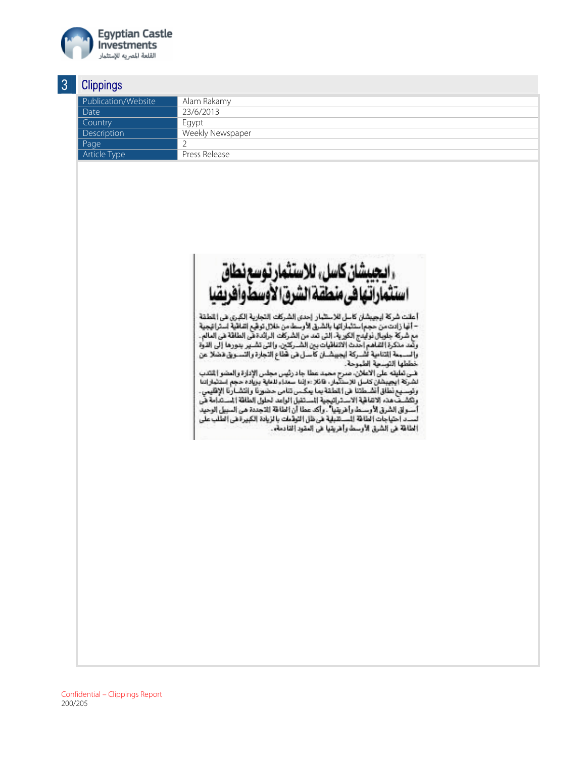

| Publication/Website | Alam Rakamy      |
|---------------------|------------------|
| Date                | 23/6/2013        |
| Country             | Egypt            |
| Description         | Weekly Newspaper |
| Page                |                  |
| Article Type        | Press Release    |
|                     |                  |



أعلنت شركة ايجيبشان كاسل للاستثمار إحدى الشركات التجارية الكبرى هي المُطقة – أنَّها زادت من حجم استثمار اتها بالشرق الأرسط من خلال توفَّع انفاقية استراتيجية . إنها رامت من منهم المتهارسية بالمدري من الشركات الرائدة هي المامية المدرانية.<br>مع شركة جلوبال توليدج الكورية، إلتي تعد من الشركات الرائدة هي الطاقة هي العالم. مع من التعالي التي يتم التي يتم التي يتم التي يتم التي يتم التي يتم التي يتم التي يتم التي يتم التي يتم التي ي<br>وقعد مذكرة القناهم احدث الاتفاقيات بين الشــركتين، والتي تشــير يتورها إلى الذوة<br>والســـمة التنامية لشــركة اي طها التوسعية الطموحة.

مصطف الموسعة العمودة.<br>هــي تعليقه على الاعلان، صرح محمد عطا جاد رئيس مجلس الإدارة والمضو الفقدب<br>الشركة ايجيبشان كاسل للاستثمار، فائلا :«إننا سعداء للعلية بزياده حجم استثماراتنا<br>وتوسعي نطاق أنشدهاتنا في القطقة يما يمكس تنا وتكشف هذه الاتفاقية الاستراتيجية المستقبل الواعد لحلول الطاقة المستدامة في<br>وتكشف هذه الاتفاقية الاستراتيجية المستقبل الواعد لحلول الطاقة المستدامة في<br>أســو ق الشرق الأوســط وأغريقيا" ، وأكد عطا أن الطاقة الاتجددة هي المبي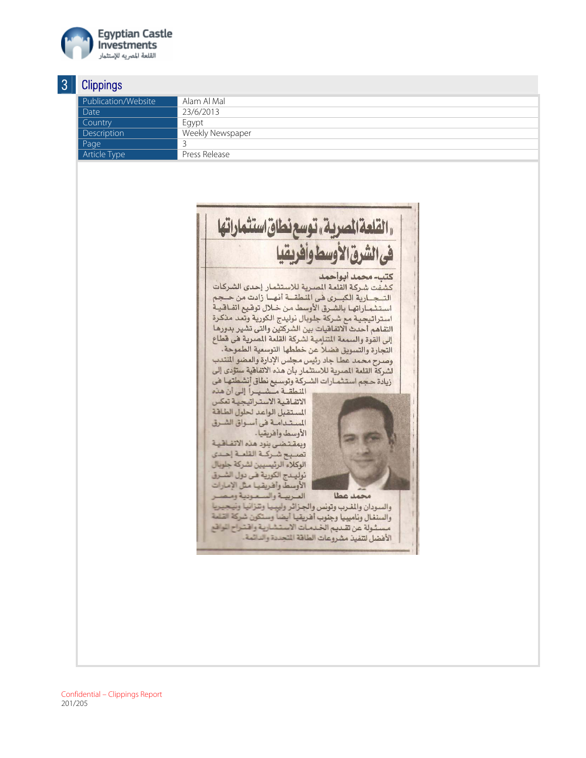

#### **Clinnings** 3

| ັ | v                   |                  |
|---|---------------------|------------------|
|   | Publication/Website | Alam Al Mal      |
|   | Date                | 23/6/2013        |
|   | Country             | Egypt            |
|   | Description         | Weekly Newspaper |
|   | Page                |                  |
|   | Article Type        | Press Release    |
|   |                     |                  |

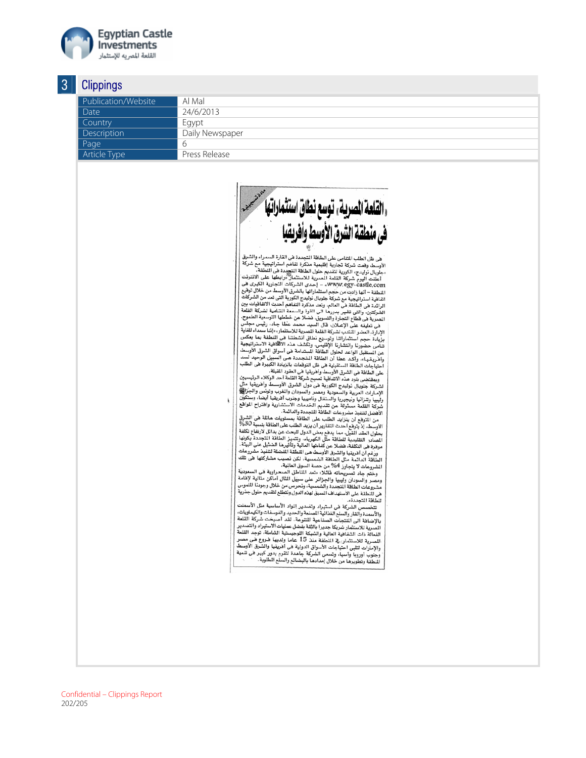

#### Clinnings -3

| ັ | <b>Olippingo</b>    |                 |
|---|---------------------|-----------------|
|   | Publication/Website | Al Mal          |
|   | Date                | 24/6/2013       |
|   | Countrv             | Egypt           |
|   | Description         | Daily Newspaper |
|   | Page                |                 |
|   | Article Type        | Press Release   |
|   |                     |                 |



هي ظل الطلب المتامي على الطافة المتجددة هي القارة السمراء والشرق هي ظل الطلب المنامي على الصاعد المجددة على الصارة المستراة والسرى<br>الأوسط وقعت شركة تجارية إقليمية منذكرة تفاهم استراتيجية مع شركة<br>الأوسط وقعت شركة تجارية إقليمية مدندة المنتخبة

من مصر اعتصاب مساعد كل ساعد المساعد المتحدة المساعد التي تعالى المساعد المساعد المساعد المساعد المساعد المساعد<br>الأوسط الوسط المساعد المساعد على المساعد المساعد المساعد المساعد المساعد المساعد المساعد المساعد المساعد المسا هي تعليمه على الإعتلان، مان السبب الحصد حسب الساب وربي البابع.<br>الإدارة، العضو المتدب لشركة القلعة الصرية للاستثمار، «إننا سعداء للغاية الإدارة، العصو المنتشب تسرّت المستحدة السرح.<br>بزيادة حجم استثماراتنا وتوسيع نطاق أنشطتنا في المنطقة بما يعكس بزيادة حجم استثماراتنا وتوسيع نطاق انشطننا هي المطعة بما يعتس<br>تنامى حضورنا وانتشارنا الإظهمي، وتكشف هذه الالثقافية الاستراتيجية<br>عن المستقبل الواعد لحلول الطاقة المبتدامة في أسواق الشرق الأوسط عن المستقبل الواعد لحلول الطاقة المتبعاء هى اسواق العربي العويد<br>وأشريقياء، وأكد عطا أن الطاقة المتبادات هي اسبيل الوحيد لسد<br>احتياجات الطاقة المستقبلية هي ظل التوقعات بالزيادة الكبيرة هي الطلب<br>على الطاقة هي الشرق الأوسط وأ

ويمقتضى بنود هذه الاتصافية تصبح سرحة انصحة أحد الوتحرة الرئيسيين.<br>لشركة جلوبال نوليدج الكورية هي دول الشرق الأوسط وأقريقيا.<br>الشركة جلوبال نوليدج الكورية هي دال ماز ماليا الأوسط تعني مالحنانا لشركة جلوبال نوليدج الخوريه هى دول انسرق ادوست واسريعية سني<br>الإمارات العربية والسعودية ومصر والسودان والغرب وتونس والجزائمي<br>الإمارات العربية والسعودية والسوداء من من أهدية الموضوع المنظمة الإمارات العربية والسعودية ومصر، واسعودان واسعوب ونطرب ونواس واجبراتها<br>وليبيا وتتزانيا ونيجيريا والسنفال وناميبيا وجنوب افريقيا أيضا، وستكون<br>شركة القلعة مستولة عن تقديم الخدمات الاستشارية واقتراح المواقع<br>الأفضل لتفيذ مشرو

الأهضل لتنفيذ مشروعات الطاقة للتجددة والدائمة .<br>- من النوع التي تن يتزايد الطلب على الطلبة بمستويات هائلة هي الشرق<br>الأوسط، إذ يتوقع أحدث التقارير أن يزيد الطلب على الطاقة بنسبة 30%<br>- المراس التقارير المراس التي تقارير أن موفرة في التكلفة، هضلا عن كفاءتها العالية وتأتيرها الفتيلية على البيئة .<br>- ورغم أن أفريقيا والشرق الأوسط من النطقة الفضلة لتنفيذ مشروعات<br>الطاقة الدائمة مثل الطاقة الشمسية، لكن نصيب مشاركتها في تلك<br>الشروعات لا يتجاوز 4% من

الشروعات لا يتجاوز 2% من حصة السوق العالميه.<br>- وختم جاد تصريحاته قائلا: «تعد الناطق الصحراوية هي السعودية<br>ومصر والسودان وليبيا والجزائر على سبيل الثال أماكن مثالية لإقامة<br>مشروعات الطاقة التجددة والشمسية، ونحرص من خلاص الع .<br>هي النطقة على الاستهداف السبق لهذه الدول ونتطلع لتقديم حلول جذرية .<br>للطاقة المتجددة».

هاقة اسجدده».<br>تتخصص الشركة في استيراد وتصدير المواد الأساسية مثل الأس والأسمدة والقار والسلع الغذائية المسنعة والحديد والفوسفات والكيماويات، والاسمدة والقار والسلح العدائية النصيفة والحديد والقوسفات والتيماويات.<br>والإضافة التي المتجات الصناعية التقومة. لقد أصبحت شركة القلعة<br>يدفع المسجد التي تقدم المستقدمة المستقدمة المستقدمة التي تماثلات المستقدمة. بالإضافة الى المنتجات الصناعية التقوعه. لقد اصبحت سرحة المقدم<br>الصدرية للاستثمار شريكا جديرا بالثقة بفضل عمليات الاستوبرا وانتخابير<br>الفعالة ذات الشفاهية العالية والشبكة اللوجيستية الشاملة، توجد القلعة<br>الممارية للاستثمار، ف النطقة وتطويرها من خلال إمدادها بالبضائع والسلع الطلوبة.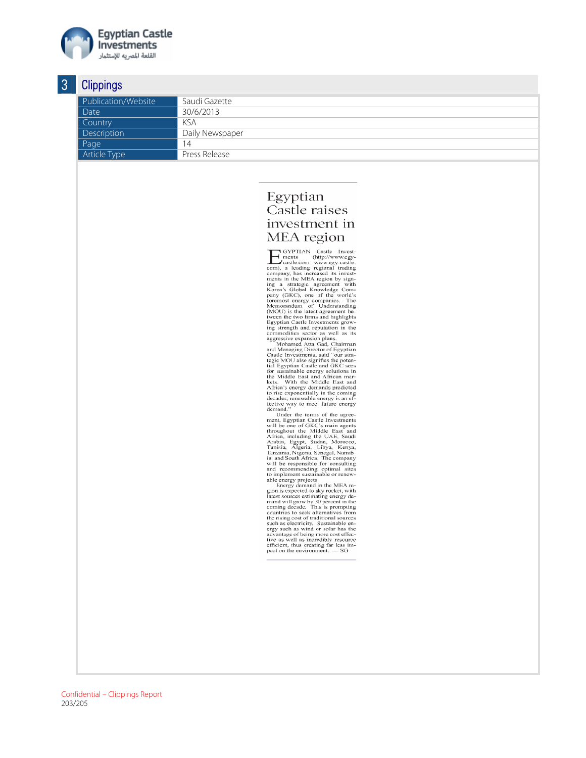

#### Clinnings 3

| U | olippingo           |                 |
|---|---------------------|-----------------|
|   | Publication/Website | Saudi Gazette   |
|   | Date                | 30/6/2013       |
|   | Country             | KSA             |
|   | Description         | Daily Newspaper |
|   | Page                | 14              |
|   | Article Type        | Press Release   |

## Egyptian Castle raises investment in MEA region

203/205 Confidential – Clippings Report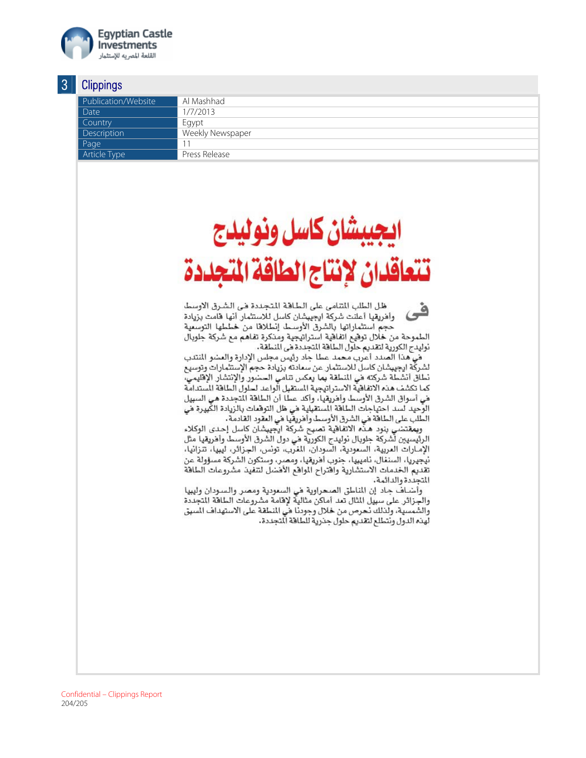

| Publication/Website | Al Mashhad       |
|---------------------|------------------|
| Date                | 1/7/2013         |
| Country             | Egypt            |
| Description         | Weekly Newspaper |
| Page                |                  |
| <b>Article Type</b> | Press Release    |

# سشان كاسل ونوليدج تتعاقدان لانتاج الطاقة المحددة

ظل الطلب المتامي على الطاقة المتجددة في الشرق الاوسط ۹ وأفريقيا أعلنت شركة ايجيبشان كاسل للاستثمار أنها فامت بزيادة حجم استثماراتها بالشرق الأوسط إنطلاقا من خططها التوسعية الطموحة من خلال توقيع اتفاقية استراتيجية ومذكرة تفاهم مع شركة جلوبال نوليدج الكورية لتقديم حلول الطافة المجددة في المنطقة.

في هذا الصدد أعرب محمد عطا جاد رئيس مجلس الإدارة والعضو المنتدب لشركة ايجيبشان كاسل للاستثمار عن سمادته بزيادة حجم الإستثمارات وتوسيع نطاق أنشطة شركته في المنطقة بما يمكس تنامي الحضور والإنتشار الإقليمي، كما تكشف هذه الاتفاقية الاستراتيجية الستقبل الواعد لحلول الطاقة السندامة في أسواق الشرق الأوسط وأفريقيا، وأكد عطا أن الطاقة المجددة هي السبيل الوَحيد لسد احتياجات الطاقة المستقبلية في ظل التوقمات بالزيادة الكبيرة في الطلب على الطاقة في الشرق الأوسط وأفريقيا في العقود القادمة.

وبمقتضي بنود هذه الاتفاقية تصبح شركة ايجيبشان كاسل إحدى الوكلاء الرئيسيين لشركة جلوبال نوليدج الكورية هي دول الشرق الأوسط وأهريقيا مثل الإمـارات المريية، السمودية، السودان، المفرب، تونس، الجزائر، ليبيا، تنزانيا، نيجيريا، السنفال، ناميبيا، جنوب أفريقيا، ومصر، وستكون الشركة مسؤولة عن تقديم الخدمات الاستشارية وافتراح المواقع الأفضل لتنفيذ مشروعات الطاقة المتجددة والدائمة.

وأضـاف جـاد إن المناطق الصـحراوية في السـعودية ومصـر والـسـودان وليبيا والجزائر على سبيل الثال تعد أماكن مثالية لإقامة مشروعات الطافة المجددة والشمسية، ولذلك نحرص من خلال وجودنا في النطقة على الاستهداف السبق لهذه الدول ونتطلع لتقديم حلول جذرية للطافة ألتجددة.